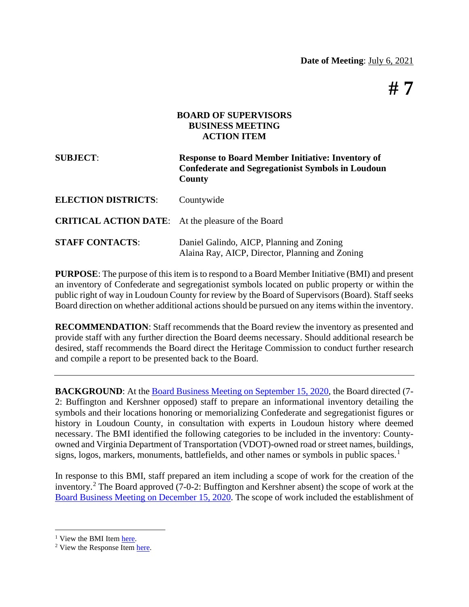**# 7**

## **BOARD OF SUPERVISORS BUSINESS MEETING ACTION ITEM**

| <b>SUBJECT:</b>                                           | <b>Response to Board Member Initiative: Inventory of</b><br><b>Confederate and Segregationist Symbols in Loudoun</b><br>County |  |  |
|-----------------------------------------------------------|--------------------------------------------------------------------------------------------------------------------------------|--|--|
| <b>ELECTION DISTRICTS:</b>                                | Countywide                                                                                                                     |  |  |
| <b>CRITICAL ACTION DATE:</b> At the pleasure of the Board |                                                                                                                                |  |  |
| <b>STAFF CONTACTS:</b>                                    | Daniel Galindo, AICP, Planning and Zoning<br>Alaina Ray, AICP, Director, Planning and Zoning                                   |  |  |

**PURPOSE**: The purpose of this item is to respond to a Board Member Initiative (BMI) and present an inventory of Confederate and segregationist symbols located on public property or within the public right of way in Loudoun County for review by the Board of Supervisors (Board). Staff seeks Board direction on whether additional actions should be pursued on any items within the inventory.

**RECOMMENDATION**: Staff recommends that the Board review the inventory as presented and provide staff with any further direction the Board deems necessary. Should additional research be desired, staff recommends the Board direct the Heritage Commission to conduct further research and compile a report to be presented back to the Board.

**BACKGROUND**: At the [Board Business Meeting on September 15, 2020,](https://loudoun.granicus.com/MediaPlayer.php?view_id=77&clip_id=6402&meta_id=182567) the Board directed (7-2: Buffington and Kershner opposed) staff to prepare an informational inventory detailing the symbols and their locations honoring or memorializing Confederate and segregationist figures or history in Loudoun County, in consultation with experts in Loudoun history where deemed necessary. The BMI identified the following categories to be included in the inventory: Countyowned and Virginia Department of Transportation (VDOT)-owned road or street names, buildings, signs, logos, markers, monuments, battlefields, and other names or symbols in public spaces.<sup>[1](#page-0-0)</sup>

In response to this BMI, staff prepared an item including a scope of work for the creation of the inventory. [2](#page-0-1) The Board approved (7-0-2: Buffington and Kershner absent) the scope of work at the [Board Business Meeting on December 15, 2020.](https://loudoun.granicus.com/MediaPlayer.php?view_id=77&clip_id=6504&meta_id=187297) The scope of work included the establishment of

<span id="page-0-0"></span><sup>1</sup> View the BMI Item [here.](https://loudoun.granicus.com/MetaViewer.php?view_id=77&clip_id=6402&meta_id=182568)

<span id="page-0-1"></span><sup>2</sup> View the Response Item [here.](https://loudoun.granicus.com/MetaViewer.php?view_id=77&clip_id=6504&meta_id=187298)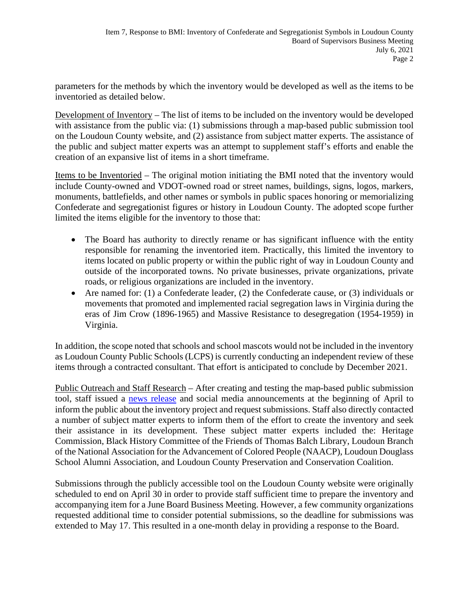parameters for the methods by which the inventory would be developed as well as the items to be inventoried as detailed below.

Development of Inventory – The list of items to be included on the inventory would be developed with assistance from the public via: (1) submissions through a map-based public submission tool on the Loudoun County website, and (2) assistance from subject matter experts. The assistance of the public and subject matter experts was an attempt to supplement staff's efforts and enable the creation of an expansive list of items in a short timeframe.

Items to be Inventoried – The original motion initiating the BMI noted that the inventory would include County-owned and VDOT-owned road or street names, buildings, signs, logos, markers, monuments, battlefields, and other names or symbols in public spaces honoring or memorializing Confederate and segregationist figures or history in Loudoun County. The adopted scope further limited the items eligible for the inventory to those that:

- The Board has authority to directly rename or has significant influence with the entity responsible for renaming the inventoried item. Practically, this limited the inventory to items located on public property or within the public right of way in Loudoun County and outside of the incorporated towns. No private businesses, private organizations, private roads, or religious organizations are included in the inventory.
- Are named for: (1) a Confederate leader, (2) the Confederate cause, or (3) individuals or movements that promoted and implemented racial segregation laws in Virginia during the eras of Jim Crow (1896-1965) and Massive Resistance to desegregation (1954-1959) in Virginia.

In addition, the scope noted that schools and school mascots would not be included in the inventory as Loudoun County Public Schools (LCPS) is currently conducting an independent review of these items through a contracted consultant. That effort is anticipated to conclude by December 2021.

Public Outreach and Staff Research – After creating and testing the map-based public submission tool, staff issued a [news release](https://www.loudoun.gov/CivicAlerts.aspx?AID=6476) and social media announcements at the beginning of April to inform the public about the inventory project and request submissions. Staff also directly contacted a number of subject matter experts to inform them of the effort to create the inventory and seek their assistance in its development. These subject matter experts included the: Heritage Commission, Black History Committee of the Friends of Thomas Balch Library, Loudoun Branch of the National Association for the Advancement of Colored People (NAACP), Loudoun Douglass School Alumni Association, and Loudoun County Preservation and Conservation Coalition.

Submissions through the publicly accessible tool on the Loudoun County website were originally scheduled to end on April 30 in order to provide staff sufficient time to prepare the inventory and accompanying item for a June Board Business Meeting. However, a few community organizations requested additional time to consider potential submissions, so the deadline for submissions was extended to May 17. This resulted in a one-month delay in providing a response to the Board.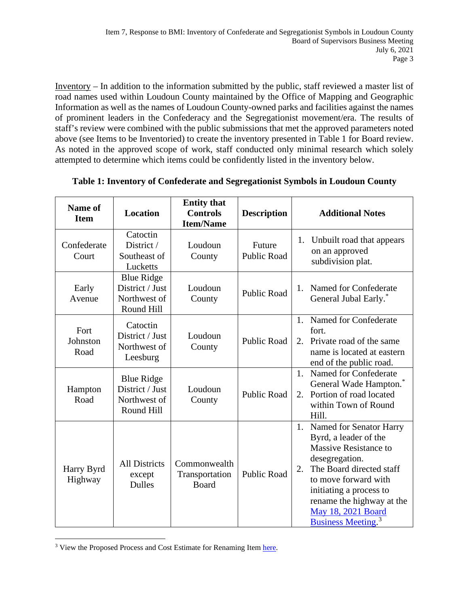Inventory – In addition to the information submitted by the public, staff reviewed a master list of road names used within Loudoun County maintained by the Office of Mapping and Geographic Information as well as the names of Loudoun County-owned parks and facilities against the names of prominent leaders in the Confederacy and the Segregationist movement/era. The results of staff's review were combined with the public submissions that met the approved parameters noted above (see Items to be Inventoried) to create the inventory presented in Table 1 for Board review. As noted in the approved scope of work, staff conducted only minimal research which solely attempted to determine which items could be confidently listed in the inventory below.

| Name of<br><b>Item</b>   | <b>Location</b>                                                    | <b>Entity that</b><br><b>Controls</b><br><b>Item/Name</b> | <b>Description</b>           | <b>Additional Notes</b>                                                                                                                                                                                                                                                         |
|--------------------------|--------------------------------------------------------------------|-----------------------------------------------------------|------------------------------|---------------------------------------------------------------------------------------------------------------------------------------------------------------------------------------------------------------------------------------------------------------------------------|
| Confederate<br>Court     | Catoctin<br>District /<br>Southeast of<br>Lucketts                 | Loudoun<br>County                                         | Future<br><b>Public Road</b> | Unbuilt road that appears<br>1.<br>on an approved<br>subdivision plat.                                                                                                                                                                                                          |
| Early<br>Avenue          | <b>Blue Ridge</b><br>District / Just<br>Northwest of<br>Round Hill | Loudoun<br>County                                         | <b>Public Road</b>           | Named for Confederate<br>$1_{-}$<br>General Jubal Early. <sup>*</sup>                                                                                                                                                                                                           |
| Fort<br>Johnston<br>Road | Catoctin<br>District / Just<br>Northwest of<br>Leesburg            | Loudoun<br>County                                         | <b>Public Road</b>           | 1. Named for Confederate<br>fort.<br>2. Private road of the same<br>name is located at eastern<br>end of the public road.                                                                                                                                                       |
| Hampton<br>Road          | <b>Blue Ridge</b><br>District / Just<br>Northwest of<br>Round Hill | Loudoun<br>County                                         | <b>Public Road</b>           | 1 <sub>1</sub><br>Named for Confederate<br>General Wade Hampton.*<br>2. Portion of road located<br>within Town of Round<br>Hill.                                                                                                                                                |
| Harry Byrd<br>Highway    | <b>All Districts</b><br>except<br><b>Dulles</b>                    | Commonwealth<br>Transportation<br><b>Board</b>            | <b>Public Road</b>           | 1. Named for Senator Harry<br>Byrd, a leader of the<br>Massive Resistance to<br>desegregation.<br>The Board directed staff<br>2.<br>to move forward with<br>initiating a process to<br>rename the highway at the<br>May 18, 2021 Board<br><b>Business Meeting.</b> <sup>3</sup> |

**Table 1: Inventory of Confederate and Segregationist Symbols in Loudoun County**

<span id="page-2-0"></span><sup>&</sup>lt;sup>3</sup> View the Proposed Process and Cost Estimate for Renaming Item [here.](https://loudoun.granicus.com/MetaViewer.php?view_id=77&clip_id=6675&meta_id=194489)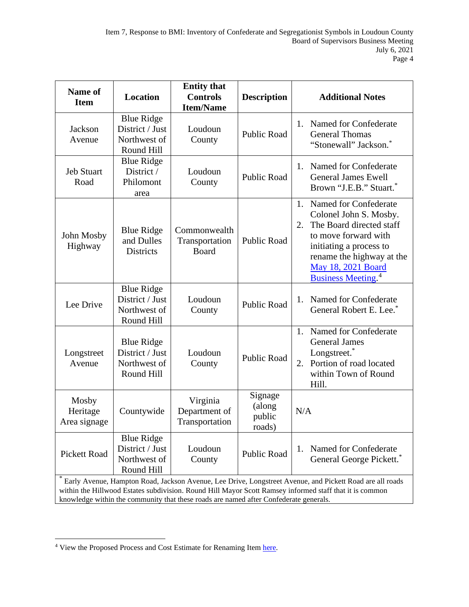| Name of<br><b>Item</b>                                                                                                                                                                                              | <b>Location</b>                                                    | <b>Entity that</b><br><b>Controls</b><br><b>Item/Name</b> | <b>Description</b>                    | <b>Additional Notes</b>                                                                                                                                                                                                                |  |  |
|---------------------------------------------------------------------------------------------------------------------------------------------------------------------------------------------------------------------|--------------------------------------------------------------------|-----------------------------------------------------------|---------------------------------------|----------------------------------------------------------------------------------------------------------------------------------------------------------------------------------------------------------------------------------------|--|--|
| Jackson<br>Avenue                                                                                                                                                                                                   | <b>Blue Ridge</b><br>District / Just<br>Northwest of<br>Round Hill | Loudoun<br>County                                         | <b>Public Road</b>                    | Named for Confederate<br>1.<br><b>General Thomas</b><br>"Stonewall" Jackson."                                                                                                                                                          |  |  |
| <b>Jeb Stuart</b><br>Road                                                                                                                                                                                           | <b>Blue Ridge</b><br>District /<br>Philomont<br>area               | Loudoun<br>County                                         | <b>Public Road</b>                    | Named for Confederate<br>1.<br><b>General James Ewell</b><br>Brown "J.E.B." Stuart."                                                                                                                                                   |  |  |
| John Mosby<br>Highway                                                                                                                                                                                               | <b>Blue Ridge</b><br>and Dulles<br>Districts                       | Commonwealth<br>Transportation<br>Board                   | <b>Public Road</b>                    | Named for Confederate<br>1.<br>Colonel John S. Mosby.<br>The Board directed staff<br>2.<br>to move forward with<br>initiating a process to<br>rename the highway at the<br>May 18, 2021 Board<br><b>Business Meeting.</b> <sup>4</sup> |  |  |
| Lee Drive                                                                                                                                                                                                           | <b>Blue Ridge</b><br>District / Just<br>Northwest of<br>Round Hill | Loudoun<br>County                                         | <b>Public Road</b>                    | Named for Confederate<br>1.<br>General Robert E. Lee. <sup>*</sup>                                                                                                                                                                     |  |  |
| Longstreet<br>Avenue                                                                                                                                                                                                | <b>Blue Ridge</b><br>District / Just<br>Northwest of<br>Round Hill | Loudoun<br>County                                         | <b>Public Road</b>                    | Named for Confederate<br>1.<br><b>General James</b><br>Longstreet.*<br>Portion of road located<br>2.<br>within Town of Round<br>Hill.                                                                                                  |  |  |
| Mosby<br>Heritage<br>Area signage                                                                                                                                                                                   | Countywide                                                         | Virginia<br>Department of<br>Transportation               | Signage<br>(along<br>public<br>roads) | N/A                                                                                                                                                                                                                                    |  |  |
| <b>Pickett Road</b>                                                                                                                                                                                                 | <b>Blue Ridge</b><br>District / Just<br>Northwest of<br>Round Hill | Loudoun<br>County                                         | <b>Public Road</b>                    | Named for Confederate<br>1.<br>General George Pickett. <sup>*</sup>                                                                                                                                                                    |  |  |
| Early Avenue, Hampton Road, Jackson Avenue, Lee Drive, Longstreet Avenue, and Pickett Road are all roads<br>within the Hillwood Estates subdivision. Round Hill Mayor Scott Ramsey informed staff that it is common |                                                                    |                                                           |                                       |                                                                                                                                                                                                                                        |  |  |

knowledge within the community that these roads are named after Confederate generals.

<span id="page-3-0"></span><sup>&</sup>lt;sup>4</sup> View the Proposed Process and Cost Estimate for Renaming Item [here.](https://loudoun.granicus.com/MetaViewer.php?view_id=77&clip_id=6675&meta_id=194489)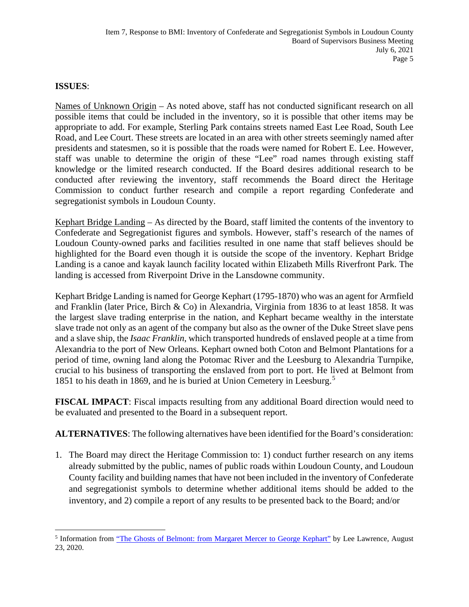## **ISSUES**:

Names of Unknown Origin – As noted above, staff has not conducted significant research on all possible items that could be included in the inventory, so it is possible that other items may be appropriate to add. For example, Sterling Park contains streets named East Lee Road, South Lee Road, and Lee Court. These streets are located in an area with other streets seemingly named after presidents and statesmen, so it is possible that the roads were named for Robert E. Lee. However, staff was unable to determine the origin of these "Lee" road names through existing staff knowledge or the limited research conducted. If the Board desires additional research to be conducted after reviewing the inventory, staff recommends the Board direct the Heritage Commission to conduct further research and compile a report regarding Confederate and segregationist symbols in Loudoun County.

Kephart Bridge Landing – As directed by the Board, staff limited the contents of the inventory to Confederate and Segregationist figures and symbols. However, staff's research of the names of Loudoun County-owned parks and facilities resulted in one name that staff believes should be highlighted for the Board even though it is outside the scope of the inventory. Kephart Bridge Landing is a canoe and kayak launch facility located within Elizabeth Mills Riverfront Park. The landing is accessed from Riverpoint Drive in the Lansdowne community.

Kephart Bridge Landing is named for George Kephart (1795-1870) who was an agent for Armfield and Franklin (later Price, Birch & Co) in Alexandria, Virginia from 1836 to at least 1858. It was the largest slave trading enterprise in the nation, and Kephart became wealthy in the interstate slave trade not only as an agent of the company but also as the owner of the Duke Street slave pens and a slave ship, the *Isaac Franklin*, which transported hundreds of enslaved people at a time from Alexandria to the port of New Orleans. Kephart owned both Coton and Belmont Plantations for a period of time, owning land along the Potomac River and the Leesburg to Alexandria Turnpike, crucial to his business of transporting the enslaved from port to port. He lived at Belmont from 18[5](#page-4-0)1 to his death in 1869, and he is buried at Union Cemetery in Leesburg.<sup>5</sup>

**FISCAL IMPACT**: Fiscal impacts resulting from any additional Board direction would need to be evaluated and presented to the Board in a subsequent report.

**ALTERNATIVES**: The following alternatives have been identified for the Board's consideration:

1. The Board may direct the Heritage Commission to: 1) conduct further research on any items already submitted by the public, names of public roads within Loudoun County, and Loudoun County facility and building names that have not been included in the inventory of Confederate and segregationist symbols to determine whether additional items should be added to the inventory, and 2) compile a report of any results to be presented back to the Board; and/or

<span id="page-4-0"></span><sup>&</sup>lt;sup>5</sup> Information from ["The Ghosts of Belmont: from Margaret Mercer to George Kephart"](https://lincolnquakers.com/2020/08/03/the-ghosts-of-belmont-from-margaret-mercer-to-george-kephart/) by Lee Lawrence, August 23, 2020.